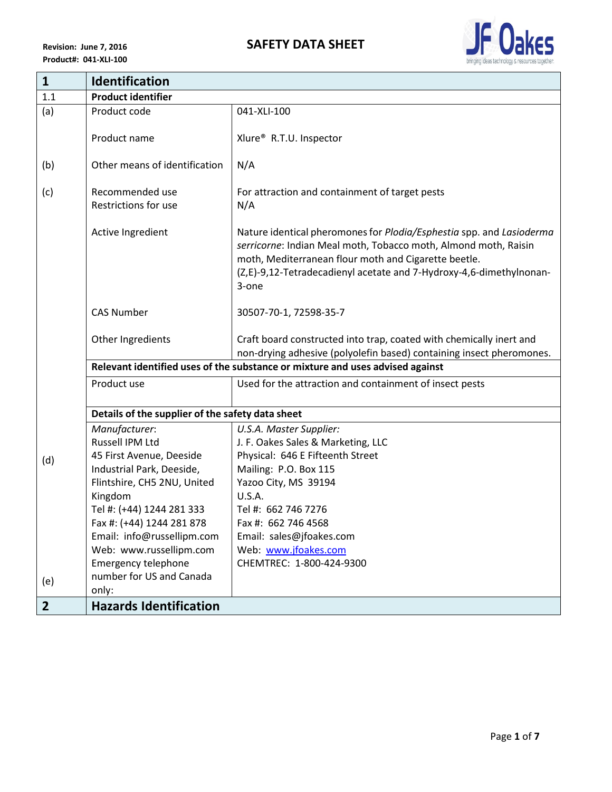

| $\mathbf{1}$   | <b>Identification</b>                            |                                                                                                                                                                                                                                                                                 |
|----------------|--------------------------------------------------|---------------------------------------------------------------------------------------------------------------------------------------------------------------------------------------------------------------------------------------------------------------------------------|
| 1.1            | <b>Product identifier</b>                        |                                                                                                                                                                                                                                                                                 |
| (a)            | Product code                                     | 041-XLI-100                                                                                                                                                                                                                                                                     |
|                | Product name                                     | Xlure <sup>®</sup> R.T.U. Inspector                                                                                                                                                                                                                                             |
| (b)            | Other means of identification                    | N/A                                                                                                                                                                                                                                                                             |
| (c)            | Recommended use<br>Restrictions for use          | For attraction and containment of target pests<br>N/A                                                                                                                                                                                                                           |
|                | Active Ingredient                                | Nature identical pheromones for Plodia/Esphestia spp. and Lasioderma<br>serricorne: Indian Meal moth, Tobacco moth, Almond moth, Raisin<br>moth, Mediterranean flour moth and Cigarette beetle.<br>(Z,E)-9,12-Tetradecadienyl acetate and 7-Hydroxy-4,6-dimethylnonan-<br>3-one |
|                | <b>CAS Number</b>                                | 30507-70-1, 72598-35-7                                                                                                                                                                                                                                                          |
|                | Other Ingredients                                | Craft board constructed into trap, coated with chemically inert and<br>non-drying adhesive (polyolefin based) containing insect pheromones.                                                                                                                                     |
|                |                                                  | Relevant identified uses of the substance or mixture and uses advised against                                                                                                                                                                                                   |
|                | Product use                                      | Used for the attraction and containment of insect pests                                                                                                                                                                                                                         |
|                | Details of the supplier of the safety data sheet |                                                                                                                                                                                                                                                                                 |
|                | Manufacturer:                                    | U.S.A. Master Supplier:                                                                                                                                                                                                                                                         |
|                | Russell IPM Ltd                                  | J. F. Oakes Sales & Marketing, LLC                                                                                                                                                                                                                                              |
| (d)            | 45 First Avenue, Deeside                         | Physical: 646 E Fifteenth Street                                                                                                                                                                                                                                                |
|                | Industrial Park, Deeside,                        | Mailing: P.O. Box 115                                                                                                                                                                                                                                                           |
|                | Flintshire, CH5 2NU, United                      | Yazoo City, MS 39194                                                                                                                                                                                                                                                            |
|                | Kingdom                                          | <b>U.S.A.</b>                                                                                                                                                                                                                                                                   |
|                | Tel #: (+44) 1244 281 333                        | Tel #: 662 746 7276                                                                                                                                                                                                                                                             |
|                | Fax #: (+44) 1244 281 878                        | Fax #: 662 746 4568                                                                                                                                                                                                                                                             |
|                | Email: info@russellipm.com                       | Email: sales@jfoakes.com                                                                                                                                                                                                                                                        |
|                | Web: www.russellipm.com                          | Web: www.jfoakes.com                                                                                                                                                                                                                                                            |
|                | <b>Emergency telephone</b>                       | CHEMTREC: 1-800-424-9300                                                                                                                                                                                                                                                        |
| (e)            | number for US and Canada                         |                                                                                                                                                                                                                                                                                 |
| 2 <sup>2</sup> | only:<br><b>Hazards Identification</b>           |                                                                                                                                                                                                                                                                                 |
|                |                                                  |                                                                                                                                                                                                                                                                                 |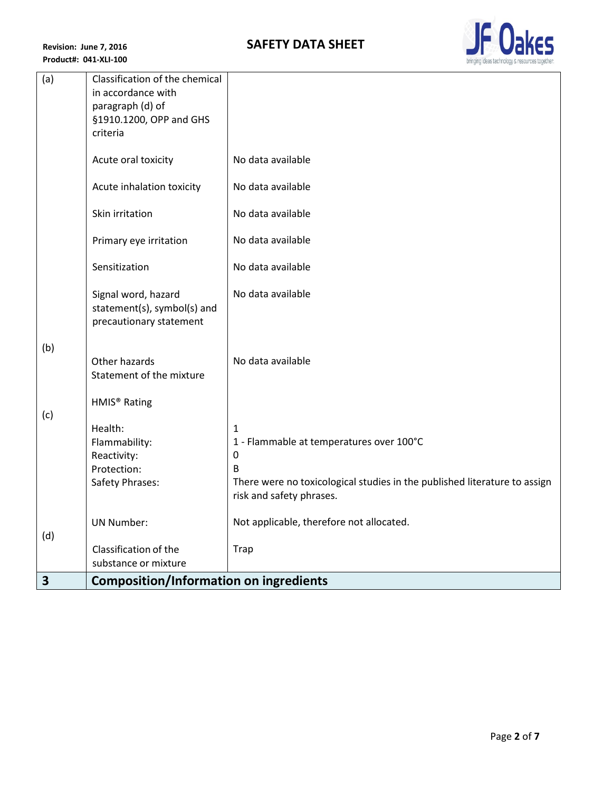

| (a) | Classification of the chemical                                                |                                                                           |
|-----|-------------------------------------------------------------------------------|---------------------------------------------------------------------------|
|     | in accordance with                                                            |                                                                           |
|     | paragraph (d) of                                                              |                                                                           |
|     | §1910.1200, OPP and GHS                                                       |                                                                           |
|     | criteria                                                                      |                                                                           |
|     | Acute oral toxicity                                                           | No data available                                                         |
|     | Acute inhalation toxicity                                                     | No data available                                                         |
|     | Skin irritation                                                               | No data available                                                         |
|     | Primary eye irritation                                                        | No data available                                                         |
|     | Sensitization                                                                 | No data available                                                         |
|     | Signal word, hazard<br>statement(s), symbol(s) and<br>precautionary statement | No data available                                                         |
|     |                                                                               |                                                                           |
| (b) | Other hazards                                                                 | No data available                                                         |
|     | Statement of the mixture                                                      |                                                                           |
|     |                                                                               |                                                                           |
|     | HMIS <sup>®</sup> Rating                                                      |                                                                           |
| (c) |                                                                               |                                                                           |
|     | Health:                                                                       | 1                                                                         |
|     | Flammability:<br>Reactivity:                                                  | 1 - Flammable at temperatures over 100°C<br>0                             |
|     | Protection:                                                                   | B                                                                         |
|     | Safety Phrases:                                                               | There were no toxicological studies in the published literature to assign |
|     |                                                                               | risk and safety phrases.                                                  |
|     | <b>UN Number:</b>                                                             | Not applicable, therefore not allocated.                                  |
| (d) |                                                                               |                                                                           |
|     | Classification of the                                                         | <b>Trap</b>                                                               |
|     | substance or mixture                                                          |                                                                           |
| 3   | <b>Composition/Information on ingredients</b>                                 |                                                                           |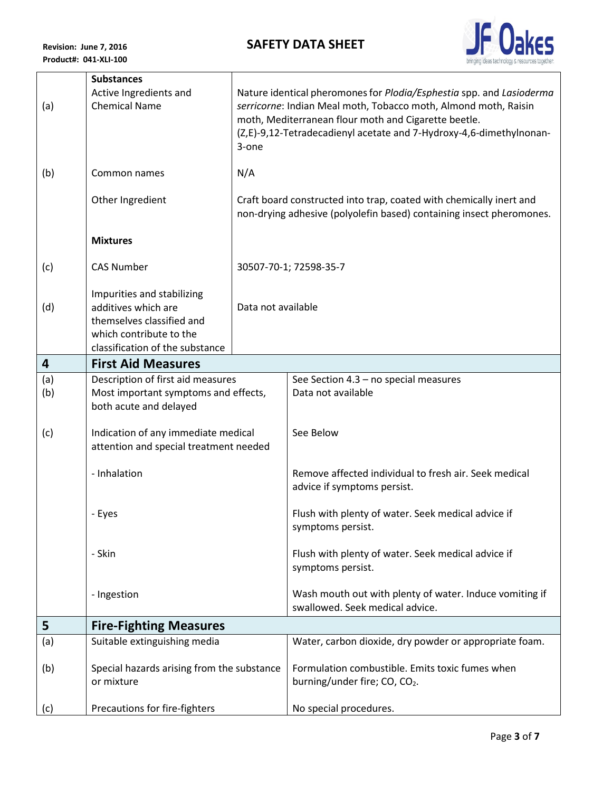## **SAFETY DATA SHEET**



|     | <b>Substances</b>                                 |                    |                                                                                                                                             |
|-----|---------------------------------------------------|--------------------|---------------------------------------------------------------------------------------------------------------------------------------------|
| (a) | Active Ingredients and<br><b>Chemical Name</b>    |                    | Nature identical pheromones for Plodia/Esphestia spp. and Lasioderma<br>serricorne: Indian Meal moth, Tobacco moth, Almond moth, Raisin     |
|     |                                                   |                    | moth, Mediterranean flour moth and Cigarette beetle.                                                                                        |
|     |                                                   |                    | (Z,E)-9,12-Tetradecadienyl acetate and 7-Hydroxy-4,6-dimethylnonan-                                                                         |
|     |                                                   | 3-one              |                                                                                                                                             |
| (b) | Common names                                      | N/A                |                                                                                                                                             |
|     |                                                   |                    |                                                                                                                                             |
|     | Other Ingredient                                  |                    | Craft board constructed into trap, coated with chemically inert and<br>non-drying adhesive (polyolefin based) containing insect pheromones. |
|     |                                                   |                    |                                                                                                                                             |
|     | <b>Mixtures</b>                                   |                    |                                                                                                                                             |
| (c) | <b>CAS Number</b>                                 |                    | 30507-70-1; 72598-35-7                                                                                                                      |
|     |                                                   |                    |                                                                                                                                             |
|     | Impurities and stabilizing<br>additives which are | Data not available |                                                                                                                                             |
| (d) | themselves classified and                         |                    |                                                                                                                                             |
|     | which contribute to the                           |                    |                                                                                                                                             |
|     | classification of the substance                   |                    |                                                                                                                                             |
| 4   | <b>First Aid Measures</b>                         |                    |                                                                                                                                             |
| (a) | Description of first aid measures                 |                    | See Section 4.3 - no special measures                                                                                                       |
| (b) | Most important symptoms and effects,              |                    | Data not available                                                                                                                          |
|     | both acute and delayed                            |                    |                                                                                                                                             |
| (c) | Indication of any immediate medical               |                    | See Below                                                                                                                                   |
|     | attention and special treatment needed            |                    |                                                                                                                                             |
|     |                                                   |                    |                                                                                                                                             |
|     | - Inhalation                                      |                    | Remove affected individual to fresh air. Seek medical<br>advice if symptoms persist.                                                        |
|     |                                                   |                    |                                                                                                                                             |
|     | - Eyes                                            |                    | Flush with plenty of water. Seek medical advice if                                                                                          |
|     |                                                   |                    | symptoms persist.                                                                                                                           |
|     | - Skin                                            |                    | Flush with plenty of water. Seek medical advice if                                                                                          |
|     |                                                   |                    | symptoms persist.                                                                                                                           |
|     |                                                   |                    | Wash mouth out with plenty of water. Induce vomiting if                                                                                     |
|     | - Ingestion                                       |                    | swallowed. Seek medical advice.                                                                                                             |
| 5   | <b>Fire-Fighting Measures</b>                     |                    |                                                                                                                                             |
| (a) | Suitable extinguishing media                      |                    | Water, carbon dioxide, dry powder or appropriate foam.                                                                                      |
|     |                                                   |                    |                                                                                                                                             |
| (b) | Special hazards arising from the substance        |                    | Formulation combustible. Emits toxic fumes when                                                                                             |
|     | or mixture                                        |                    | burning/under fire; CO, CO2.                                                                                                                |
| (c) | Precautions for fire-fighters                     |                    | No special procedures.                                                                                                                      |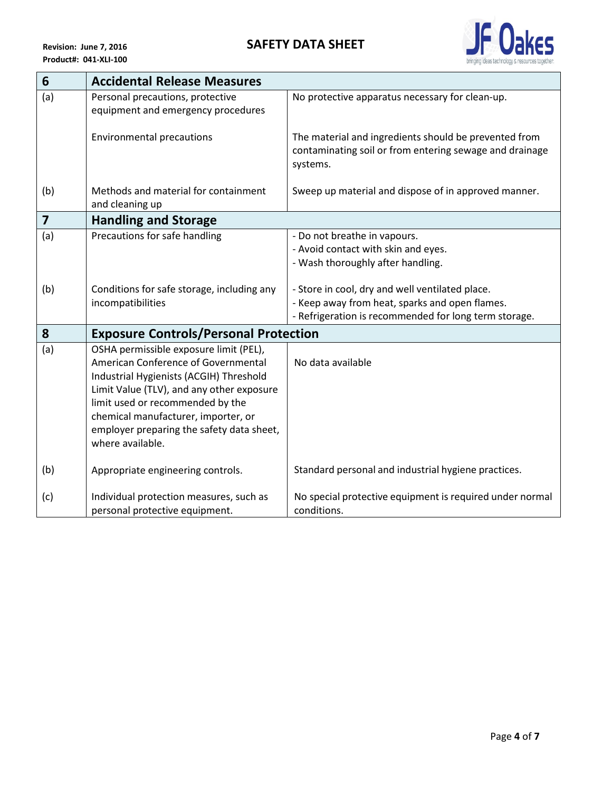

| $6\phantom{1}6$         | <b>Accidental Release Measures</b>                                                                                                                                                                                                                                                                                |                                                                                                                                                            |
|-------------------------|-------------------------------------------------------------------------------------------------------------------------------------------------------------------------------------------------------------------------------------------------------------------------------------------------------------------|------------------------------------------------------------------------------------------------------------------------------------------------------------|
| (a)                     | Personal precautions, protective<br>equipment and emergency procedures                                                                                                                                                                                                                                            | No protective apparatus necessary for clean-up.                                                                                                            |
|                         | <b>Environmental precautions</b>                                                                                                                                                                                                                                                                                  | The material and ingredients should be prevented from<br>contaminating soil or from entering sewage and drainage<br>systems.                               |
| (b)                     | Methods and material for containment<br>and cleaning up                                                                                                                                                                                                                                                           | Sweep up material and dispose of in approved manner.                                                                                                       |
| $\overline{\mathbf{z}}$ | <b>Handling and Storage</b>                                                                                                                                                                                                                                                                                       |                                                                                                                                                            |
| (a)                     | Precautions for safe handling                                                                                                                                                                                                                                                                                     | - Do not breathe in vapours.<br>- Avoid contact with skin and eyes.<br>- Wash thoroughly after handling.                                                   |
| (b)                     | Conditions for safe storage, including any<br>incompatibilities                                                                                                                                                                                                                                                   | - Store in cool, dry and well ventilated place.<br>- Keep away from heat, sparks and open flames.<br>- Refrigeration is recommended for long term storage. |
| 8                       | <b>Exposure Controls/Personal Protection</b>                                                                                                                                                                                                                                                                      |                                                                                                                                                            |
| (a)                     | OSHA permissible exposure limit (PEL),<br>American Conference of Governmental<br>Industrial Hygienists (ACGIH) Threshold<br>Limit Value (TLV), and any other exposure<br>limit used or recommended by the<br>chemical manufacturer, importer, or<br>employer preparing the safety data sheet,<br>where available. | No data available                                                                                                                                          |
| (b)                     | Appropriate engineering controls.                                                                                                                                                                                                                                                                                 | Standard personal and industrial hygiene practices.                                                                                                        |
| (c)                     | Individual protection measures, such as<br>personal protective equipment.                                                                                                                                                                                                                                         | No special protective equipment is required under normal<br>conditions.                                                                                    |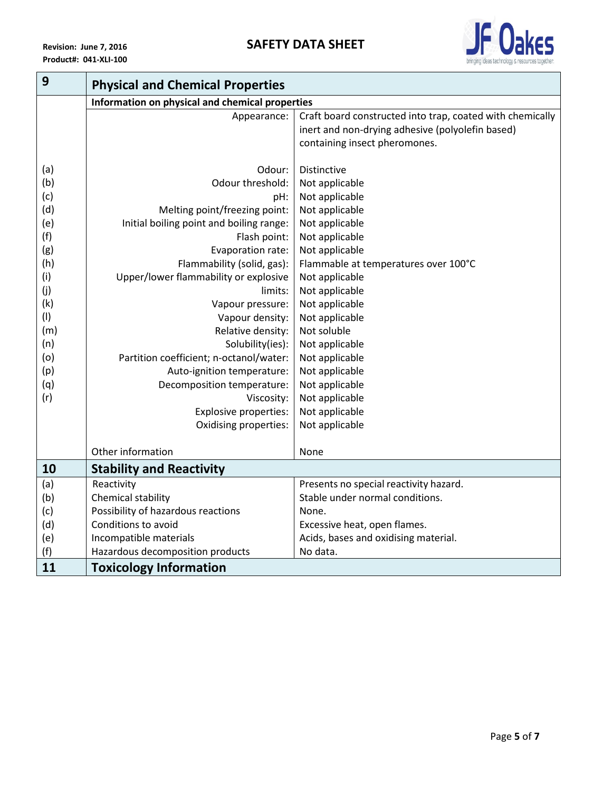

| 9   | <b>Physical and Chemical Properties</b>         |                                                           |
|-----|-------------------------------------------------|-----------------------------------------------------------|
|     | Information on physical and chemical properties |                                                           |
|     | Appearance:                                     | Craft board constructed into trap, coated with chemically |
|     |                                                 | inert and non-drying adhesive (polyolefin based)          |
|     |                                                 | containing insect pheromones.                             |
|     |                                                 |                                                           |
| (a) | Odour:                                          | <b>Distinctive</b>                                        |
| (b) | Odour threshold:                                | Not applicable                                            |
| (c) | pH:                                             | Not applicable                                            |
| (d) | Melting point/freezing point:                   | Not applicable                                            |
| (e) | Initial boiling point and boiling range:        | Not applicable                                            |
| (f) | Flash point:                                    | Not applicable                                            |
| (g) | Evaporation rate:                               | Not applicable                                            |
| (h) | Flammability (solid, gas):                      | Flammable at temperatures over 100°C                      |
| (i) | Upper/lower flammability or explosive           | Not applicable                                            |
| (j) | limits:                                         | Not applicable                                            |
| (k) | Vapour pressure:                                | Not applicable                                            |
| (1) | Vapour density:                                 | Not applicable                                            |
| (m) | Relative density:                               | Not soluble                                               |
| (n) | Solubility(ies):                                | Not applicable                                            |
| (o) | Partition coefficient; n-octanol/water:         | Not applicable                                            |
| (p) | Auto-ignition temperature:                      | Not applicable                                            |
| (q) | Decomposition temperature:                      | Not applicable                                            |
| (r) | Viscosity:                                      | Not applicable                                            |
|     | <b>Explosive properties:</b>                    | Not applicable                                            |
|     | Oxidising properties:                           | Not applicable                                            |
|     |                                                 |                                                           |
|     | Other information                               | None                                                      |
| 10  | <b>Stability and Reactivity</b>                 |                                                           |
| (a) | Reactivity                                      | Presents no special reactivity hazard.                    |
| (b) | Chemical stability                              | Stable under normal conditions.                           |
| (c) | Possibility of hazardous reactions              | None.                                                     |
| (d) | Conditions to avoid                             | Excessive heat, open flames.                              |
| (e) | Incompatible materials                          | Acids, bases and oxidising material.                      |
| (f) | Hazardous decomposition products                | No data.                                                  |
| 11  | <b>Toxicology Information</b>                   |                                                           |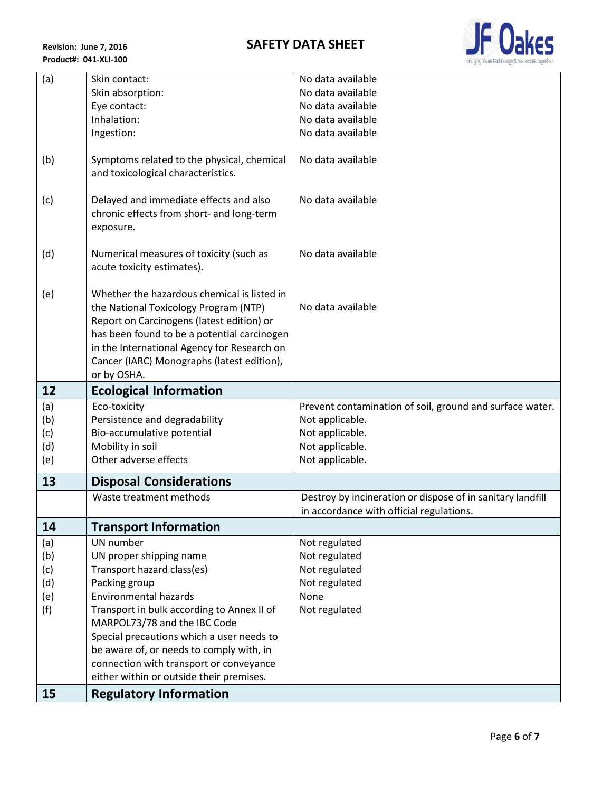**Revision: June 7, 2016 Product#: 041-XLI-100**



| (a) | Skin contact:                                                             | No data available                                          |
|-----|---------------------------------------------------------------------------|------------------------------------------------------------|
|     | Skin absorption:                                                          | No data available                                          |
|     | Eye contact:                                                              | No data available                                          |
|     | Inhalation:                                                               | No data available                                          |
|     | Ingestion:                                                                | No data available                                          |
|     |                                                                           |                                                            |
| (b) | Symptoms related to the physical, chemical                                | No data available                                          |
|     | and toxicological characteristics.                                        |                                                            |
|     |                                                                           |                                                            |
| (c) | Delayed and immediate effects and also                                    | No data available                                          |
|     | chronic effects from short- and long-term                                 |                                                            |
|     | exposure.                                                                 |                                                            |
| (d) | Numerical measures of toxicity (such as                                   | No data available                                          |
|     | acute toxicity estimates).                                                |                                                            |
|     |                                                                           |                                                            |
| (e) | Whether the hazardous chemical is listed in                               |                                                            |
|     | the National Toxicology Program (NTP)                                     | No data available                                          |
|     | Report on Carcinogens (latest edition) or                                 |                                                            |
|     | has been found to be a potential carcinogen                               |                                                            |
|     | in the International Agency for Research on                               |                                                            |
|     | Cancer (IARC) Monographs (latest edition),                                |                                                            |
|     | or by OSHA.                                                               |                                                            |
| 12  | <b>Ecological Information</b>                                             |                                                            |
| (a) | Eco-toxicity                                                              | Prevent contamination of soil, ground and surface water.   |
| (b) | Persistence and degradability                                             | Not applicable.                                            |
| (c) | Bio-accumulative potential                                                | Not applicable.                                            |
| (d) | Mobility in soil                                                          | Not applicable.                                            |
| (e) | Other adverse effects                                                     | Not applicable.                                            |
| 13  | <b>Disposal Considerations</b>                                            |                                                            |
|     | Waste treatment methods                                                   | Destroy by incineration or dispose of in sanitary landfill |
|     |                                                                           |                                                            |
|     |                                                                           | in accordance with official regulations.                   |
| 14  | <b>Transport Information</b>                                              |                                                            |
| (a) | UN number                                                                 | Not regulated                                              |
| (b) | UN proper shipping name                                                   | Not regulated                                              |
| (c) | Transport hazard class(es)                                                | Not regulated                                              |
| (d) | Packing group                                                             | Not regulated                                              |
| (e) | <b>Environmental hazards</b>                                              | None                                                       |
| (f) | Transport in bulk according to Annex II of                                | Not regulated                                              |
|     | MARPOL73/78 and the IBC Code                                              |                                                            |
|     | Special precautions which a user needs to                                 |                                                            |
|     | be aware of, or needs to comply with, in                                  |                                                            |
|     | connection with transport or conveyance                                   |                                                            |
| 15  | either within or outside their premises.<br><b>Regulatory Information</b> |                                                            |